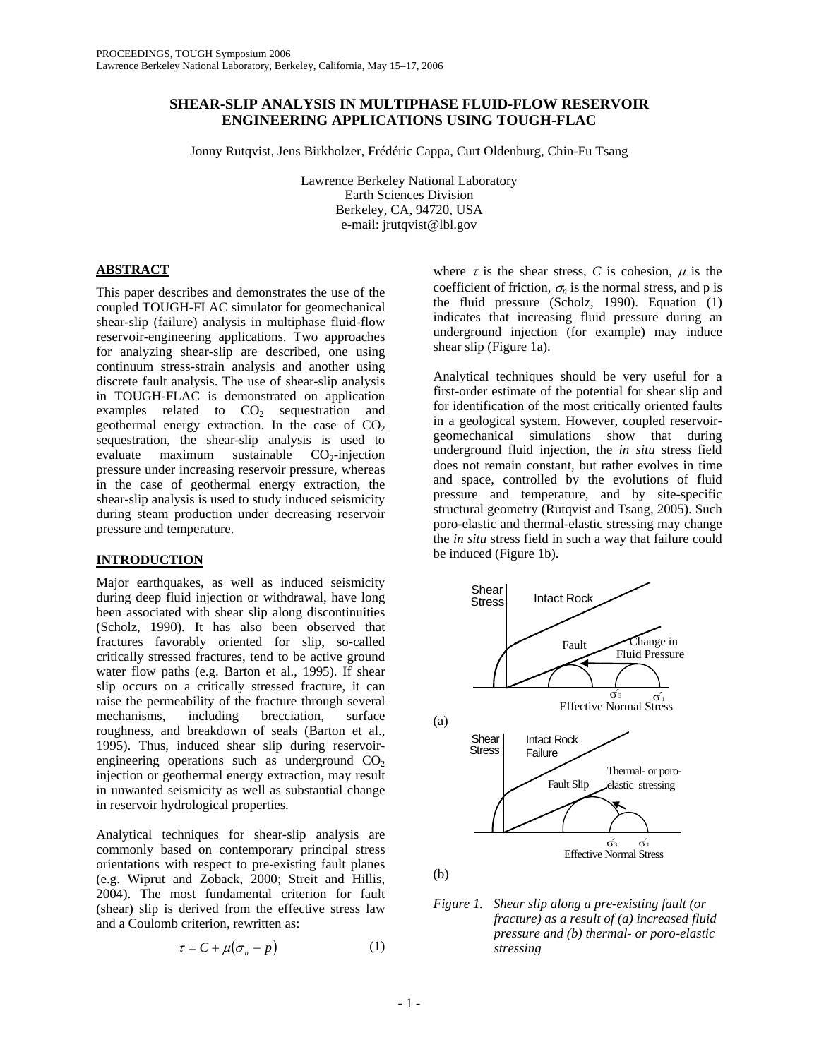# **SHEAR-SLIP ANALYSIS IN MULTIPHASE FLUID-FLOW RESERVOIR ENGINEERING APPLICATIONS USING TOUGH-FLAC**

Jonny Rutqvist, Jens Birkholzer, Frédéric Cappa, Curt Oldenburg, Chin-Fu Tsang

Lawrence Berkeley National Laboratory Earth Sciences Division Berkeley, CA, 94720, USA e-mail: jrutqvist@lbl.gov

# **ABSTRACT**

This paper describes and demonstrates the use of the coupled TOUGH-FLAC simulator for geomechanical shear-slip (failure) analysis in multiphase fluid-flow reservoir-engineering applications. Two approaches for analyzing shear-slip are described, one using continuum stress-strain analysis and another using discrete fault analysis. The use of shear-slip analysis in TOUGH-FLAC is demonstrated on application examples related to  $CO<sub>2</sub>$  sequestration and geothermal energy extraction. In the case of  $CO<sub>2</sub>$ sequestration, the shear-slip analysis is used to evaluate maximum sustainable  $CO<sub>2</sub>$ -injection pressure under increasing reservoir pressure, whereas in the case of geothermal energy extraction, the shear-slip analysis is used to study induced seismicity during steam production under decreasing reservoir pressure and temperature.

# **INTRODUCTION**

Major earthquakes, as well as induced seismicity during deep fluid injection or withdrawal, have long been associated with shear slip along discontinuities (Scholz, 1990). It has also been observed that fractures favorably oriented for slip, so-called critically stressed fractures, tend to be active ground water flow paths (e.g. Barton et al., 1995). If shear slip occurs on a critically stressed fracture, it can raise the permeability of the fracture through several mechanisms, including brecciation, surface roughness, and breakdown of seals (Barton et al., 1995). Thus, induced shear slip during reservoirengineering operations such as underground  $CO<sub>2</sub>$ injection or geothermal energy extraction, may result in unwanted seismicity as well as substantial change in reservoir hydrological properties.

Analytical techniques for shear-slip analysis are commonly based on contemporary principal stress orientations with respect to pre-existing fault planes (e.g. Wiprut and Zoback, 2000; Streit and Hillis, 2004). The most fundamental criterion for fault (shear) slip is derived from the effective stress law and a Coulomb criterion, rewritten as:

$$
\tau = C + \mu (\sigma_n - p) \tag{1}
$$

where  $\tau$  is the shear stress, C is cohesion,  $\mu$  is the coefficient of friction,  $\sigma_n$  is the normal stress, and p is the fluid pressure (Scholz, 1990). Equation (1) indicates that increasing fluid pressure during an underground injection (for example) may induce shear slip (Figure 1a).

Analytical techniques should be very useful for a first-order estimate of the potential for shear slip and for identification of the most critically oriented faults in a geological system. However, coupled reservoirgeomechanical simulations show that during underground fluid injection, the *in situ* stress field does not remain constant, but rather evolves in time and space, controlled by the evolutions of fluid pressure and temperature, and by site-specific structural geometry (Rutqvist and Tsang, 2005). Such poro-elastic and thermal-elastic stressing may change the *in situ* stress field in such a way that failure could be induced (Figure 1b).



*Figure 1. Shear slip along a pre-existing fault (or fracture) as a result of (a) increased fluid pressure and (b) thermal- or poro-elastic stressing*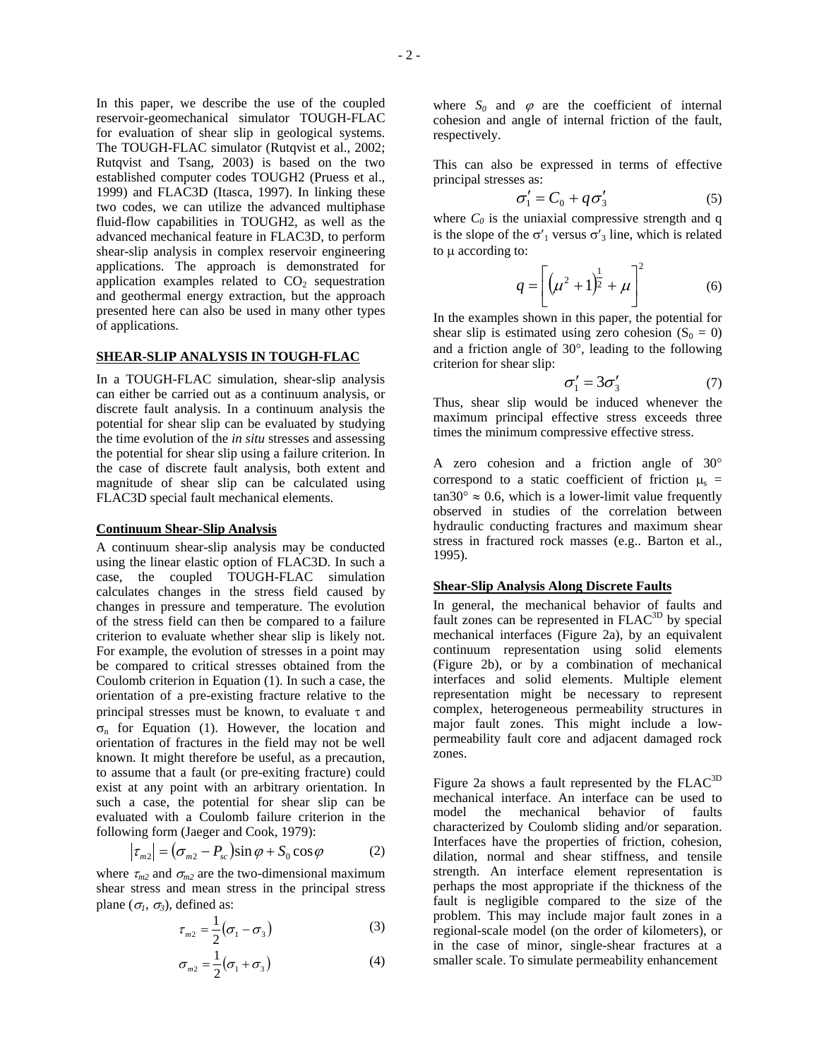In this paper, we describe the use of the coupled reservoir-geomechanical simulator TOUGH-FLAC for evaluation of shear slip in geological systems. The TOUGH-FLAC simulator (Rutqvist et al., 2002; Rutqvist and Tsang, 2003) is based on the two established computer codes TOUGH2 (Pruess et al., 1999) and FLAC3D (Itasca, 1997). In linking these two codes, we can utilize the advanced multiphase fluid-flow capabilities in TOUGH2, as well as the advanced mechanical feature in FLAC3D, to perform shear-slip analysis in complex reservoir engineering applications. The approach is demonstrated for application examples related to  $CO<sub>2</sub>$  sequestration and geothermal energy extraction, but the approach presented here can also be used in many other types of applications.

### **SHEAR-SLIP ANALYSIS IN TOUGH-FLAC**

In a TOUGH-FLAC simulation, shear-slip analysis can either be carried out as a continuum analysis, or discrete fault analysis. In a continuum analysis the potential for shear slip can be evaluated by studying the time evolution of the *in situ* stresses and assessing the potential for shear slip using a failure criterion. In the case of discrete fault analysis, both extent and magnitude of shear slip can be calculated using FLAC3D special fault mechanical elements.

#### **Continuum Shear-Slip Analysis**

A continuum shear-slip analysis may be conducted using the linear elastic option of FLAC3D. In such a case, the coupled TOUGH-FLAC simulation calculates changes in the stress field caused by changes in pressure and temperature. The evolution of the stress field can then be compared to a failure criterion to evaluate whether shear slip is likely not. For example, the evolution of stresses in a point may be compared to critical stresses obtained from the Coulomb criterion in Equation (1). In such a case, the orientation of a pre-existing fracture relative to the principal stresses must be known, to evaluate  $\tau$  and  $\sigma_n$  for Equation (1). However, the location and orientation of fractures in the field may not be well known. It might therefore be useful, as a precaution, to assume that a fault (or pre-exiting fracture) could exist at any point with an arbitrary orientation. In such a case, the potential for shear slip can be evaluated with a Coulomb failure criterion in the following form (Jaeger and Cook, 1979):

$$
\left|\tau_{m2}\right| = \left(\sigma_{m2} - P_{sc}\right)\sin\varphi + S_0\cos\varphi\tag{2}
$$

where  $\tau_{m2}$  and  $\sigma_{m2}$  are the two-dimensional maximum shear stress and mean stress in the principal stress plane ( $\sigma_l$ ,  $\sigma_3$ ), defined as:

$$
\tau_{m2} = \frac{1}{2} (\sigma_1 - \sigma_3) \tag{3}
$$

$$
\sigma_{m2} = \frac{1}{2} (\sigma_1 + \sigma_3) \tag{4}
$$

where  $S_0$  and  $\varphi$  are the coefficient of internal cohesion and angle of internal friction of the fault, respectively.

This can also be expressed in terms of effective principal stresses as:

$$
\sigma_1' = C_0 + q \sigma_3' \tag{5}
$$

where  $C_0$  is the uniaxial compressive strength and q is the slope of the  $\sigma'$ <sub>1</sub> versus  $\sigma'$ <sub>3</sub> line, which is related to µ according to:

$$
q = \left[ \left( \mu^2 + 1 \right)^{\frac{1}{2}} + \mu \right]^2 \tag{6}
$$

In the examples shown in this paper, the potential for shear slip is estimated using zero cohesion  $(S_0 = 0)$ and a friction angle of 30°, leading to the following criterion for shear slip:

$$
\sigma_1' = 3\sigma_3' \tag{7}
$$

Thus, shear slip would be induced whenever the maximum principal effective stress exceeds three times the minimum compressive effective stress.

A zero cohesion and a friction angle of 30° correspond to a static coefficient of friction  $\mu_s$  =  $tan 30^\circ \approx 0.6$ , which is a lower-limit value frequently observed in studies of the correlation between hydraulic conducting fractures and maximum shear stress in fractured rock masses (e.g.. Barton et al., 1995).

#### **Shear-Slip Analysis Along Discrete Faults**

In general, the mechanical behavior of faults and fault zones can be represented in FLAC<sup>3D</sup> by special mechanical interfaces (Figure 2a), by an equivalent continuum representation using solid elements (Figure 2b), or by a combination of mechanical interfaces and solid elements. Multiple element representation might be necessary to represent complex, heterogeneous permeability structures in major fault zones. This might include a lowpermeability fault core and adjacent damaged rock zones.

Figure 2a shows a fault represented by the  $FLAC<sup>3D</sup>$ mechanical interface. An interface can be used to model the mechanical behavior of faults characterized by Coulomb sliding and/or separation. Interfaces have the properties of friction, cohesion, dilation, normal and shear stiffness, and tensile strength. An interface element representation is perhaps the most appropriate if the thickness of the fault is negligible compared to the size of the problem. This may include major fault zones in a regional-scale model (on the order of kilometers), or in the case of minor, single-shear fractures at a smaller scale. To simulate permeability enhancement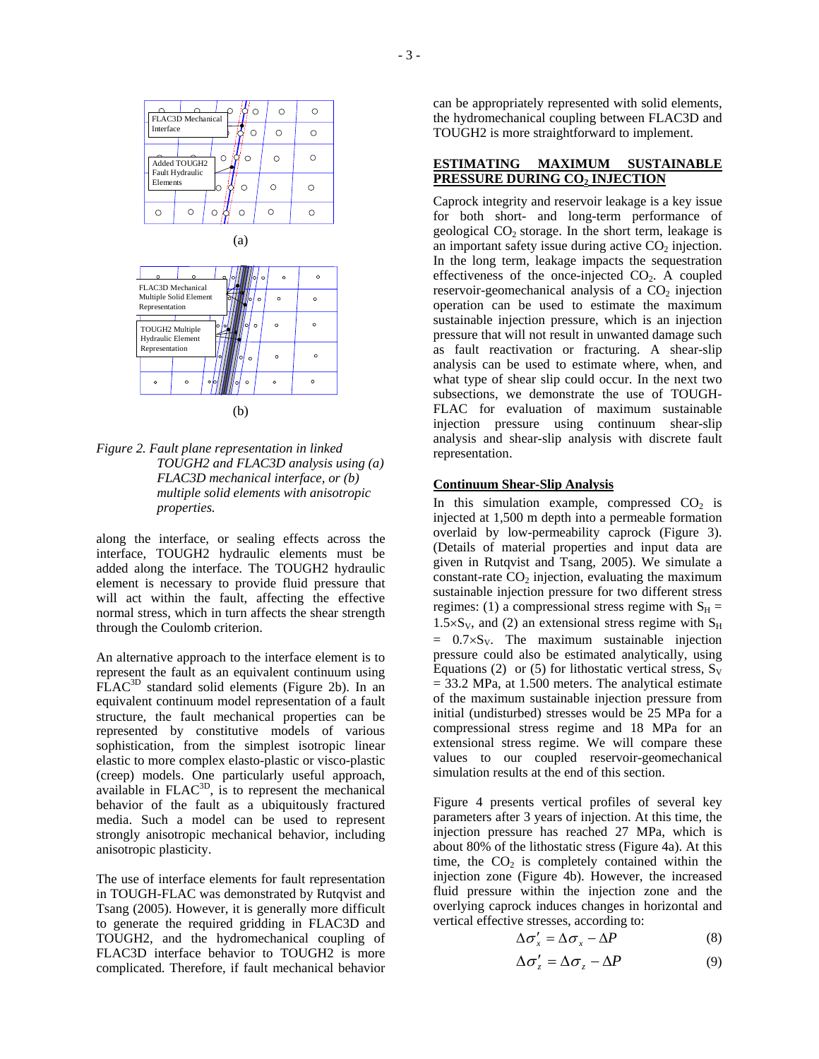

(b)

*Figure 2. Fault plane representation in linked TOUGH2 and FLAC3D analysis using (a) FLAC3D mechanical interface, or (b) multiple solid elements with anisotropic properties.* 

along the interface, or sealing effects across the interface, TOUGH2 hydraulic elements must be added along the interface. The TOUGH2 hydraulic element is necessary to provide fluid pressure that will act within the fault, affecting the effective normal stress, which in turn affects the shear strength through the Coulomb criterion.

An alternative approach to the interface element is to represent the fault as an equivalent continuum using FLAC3D standard solid elements (Figure 2b). In an equivalent continuum model representation of a fault structure, the fault mechanical properties can be represented by constitutive models of various sophistication, from the simplest isotropic linear elastic to more complex elasto-plastic or visco-plastic (creep) models. One particularly useful approach,  $\alpha$  available in FLAC $^{3D}$ , is to represent the mechanical behavior of the fault as a ubiquitously fractured media. Such a model can be used to represent strongly anisotropic mechanical behavior, including anisotropic plasticity.

The use of interface elements for fault representation in TOUGH-FLAC was demonstrated by Rutqvist and Tsang (2005). However, it is generally more difficult to generate the required gridding in FLAC3D and TOUGH2, and the hydromechanical coupling of FLAC3D interface behavior to TOUGH2 is more complicated. Therefore, if fault mechanical behavior can be appropriately represented with solid elements, the hydromechanical coupling between FLAC3D and TOUGH2 is more straightforward to implement.

## **ESTIMATING MAXIMUM SUSTAINABLE PRESSURE DURING CO<sub>2</sub> INJECTION**

Caprock integrity and reservoir leakage is a key issue for both short- and long-term performance of geological  $CO<sub>2</sub>$  storage. In the short term, leakage is an important safety issue during active  $CO<sub>2</sub>$  injection. In the long term, leakage impacts the sequestration effectiveness of the once-injected  $CO<sub>2</sub>$ . A coupled reservoir-geomechanical analysis of a  $CO<sub>2</sub>$  injection operation can be used to estimate the maximum sustainable injection pressure, which is an injection pressure that will not result in unwanted damage such as fault reactivation or fracturing. A shear-slip analysis can be used to estimate where, when, and what type of shear slip could occur. In the next two subsections, we demonstrate the use of TOUGH-FLAC for evaluation of maximum sustainable injection pressure using continuum shear-slip analysis and shear-slip analysis with discrete fault representation.

## **Continuum Shear-Slip Analysis**

In this simulation example, compressed  $CO<sub>2</sub>$  is injected at 1,500 m depth into a permeable formation overlaid by low-permeability caprock (Figure 3). (Details of material properties and input data are given in Rutqvist and Tsang, 2005). We simulate a constant-rate  $CO<sub>2</sub>$  injection, evaluating the maximum sustainable injection pressure for two different stress regimes: (1) a compressional stress regime with  $S_H$  =  $1.5 \times S_V$ , and (2) an extensional stress regime with  $S_H$  $= 0.7 \times S_V$ . The maximum sustainable injection pressure could also be estimated analytically, using Equations (2) or (5) for lithostatic vertical stress,  $S_V$  $= 33.2$  MPa, at 1.500 meters. The analytical estimate of the maximum sustainable injection pressure from initial (undisturbed) stresses would be 25 MPa for a compressional stress regime and 18 MPa for an extensional stress regime. We will compare these values to our coupled reservoir-geomechanical simulation results at the end of this section.

Figure 4 presents vertical profiles of several key parameters after 3 years of injection. At this time, the injection pressure has reached 27 MPa, which is about 80% of the lithostatic stress (Figure 4a). At this time, the  $CO<sub>2</sub>$  is completely contained within the injection zone (Figure 4b). However, the increased fluid pressure within the injection zone and the overlying caprock induces changes in horizontal and vertical effective stresses, according to:

$$
\Delta \sigma_x' = \Delta \sigma_x - \Delta P \tag{8}
$$

$$
\Delta \sigma_z' = \Delta \sigma_z - \Delta P \tag{9}
$$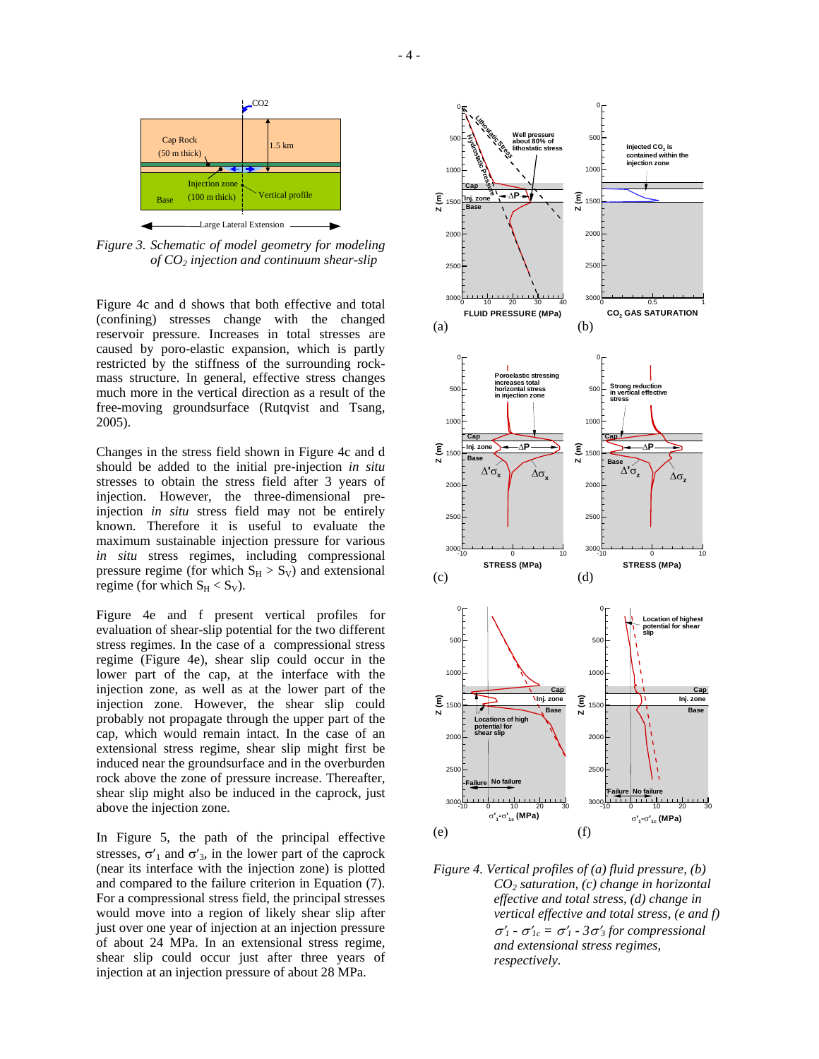

*Figure 3. Schematic of model geometry for modeling of CO2 injection and continuum shear-slip*

Figure 4c and d shows that both effective and total (confining) stresses change with the changed reservoir pressure. Increases in total stresses are caused by poro-elastic expansion, which is partly restricted by the stiffness of the surrounding rockmass structure. In general, effective stress changes much more in the vertical direction as a result of the free-moving groundsurface (Rutqvist and Tsang, 2005).

Changes in the stress field shown in Figure 4c and d should be added to the initial pre-injection *in situ* stresses to obtain the stress field after 3 years of injection. However, the three-dimensional preinjection *in situ* stress field may not be entirely known. Therefore it is useful to evaluate the maximum sustainable injection pressure for various *in situ* stress regimes, including compressional pressure regime (for which  $S_H > S_V$ ) and extensional regime (for which  $S_H < S_V$ ).

Figure 4e and f present vertical profiles for evaluation of shear-slip potential for the two different stress regimes. In the case of a compressional stress regime (Figure 4e), shear slip could occur in the lower part of the cap, at the interface with the injection zone, as well as at the lower part of the injection zone. However, the shear slip could probably not propagate through the upper part of the cap, which would remain intact. In the case of an extensional stress regime, shear slip might first be induced near the groundsurface and in the overburden rock above the zone of pressure increase. Thereafter, shear slip might also be induced in the caprock, just above the injection zone.

In Figure 5, the path of the principal effective stresses,  $\sigma'$ <sub>1</sub> and  $\sigma'$ <sub>3</sub>, in the lower part of the caprock (near its interface with the injection zone) is plotted and compared to the failure criterion in Equation (7). For a compressional stress field, the principal stresses would move into a region of likely shear slip after just over one year of injection at an injection pressure of about 24 MPa. In an extensional stress regime, shear slip could occur just after three years of injection at an injection pressure of about 28 MPa.



*Figure 4. Vertical profiles of (a) fluid pressure, (b) CO2 saturation, (c) change in horizontal effective and total stress, (d) change in vertical effective and total stress, (e and f)*  <sup>σ</sup>′*1 -* σ′*1c =* σ′*1 - 3*σ′*<sup>3</sup> for compressional and extensional stress regimes, respectively.*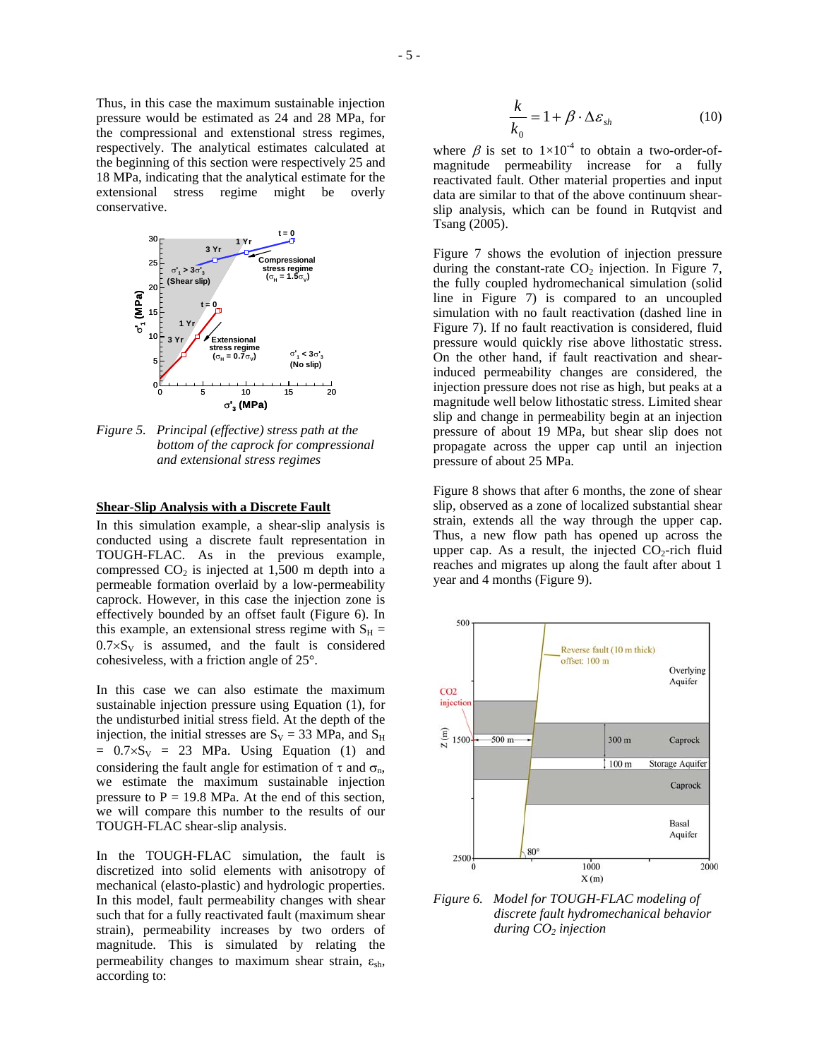Thus, in this case the maximum sustainable injection pressure would be estimated as 24 and 28 MPa, for the compressional and extenstional stress regimes, respectively. The analytical estimates calculated at the beginning of this section were respectively 25 and 18 MPa, indicating that the analytical estimate for the extensional stress regime might be overly conservative.



*Figure 5. Principal (effective) stress path at the bottom of the caprock for compressional and extensional stress regimes* 

### **Shear-Slip Analysis with a Discrete Fault**

In this simulation example, a shear-slip analysis is conducted using a discrete fault representation in TOUGH-FLAC. As in the previous example, compressed  $CO<sub>2</sub>$  is injected at 1,500 m depth into a permeable formation overlaid by a low-permeability caprock. However, in this case the injection zone is effectively bounded by an offset fault (Figure 6). In this example, an extensional stress regime with  $S_H =$  $0.7 \times S_V$  is assumed, and the fault is considered cohesiveless, with a friction angle of 25°.

In this case we can also estimate the maximum sustainable injection pressure using Equation (1), for the undisturbed initial stress field. At the depth of the injection, the initial stresses are  $S_V = 33$  MPa, and  $S_H$  $= 0.7 \times S_V = 23$  MPa. Using Equation (1) and considering the fault angle for estimation of  $\tau$  and  $\sigma_n$ , we estimate the maximum sustainable injection pressure to  $P = 19.8$  MPa. At the end of this section, we will compare this number to the results of our TOUGH-FLAC shear-slip analysis.

In the TOUGH-FLAC simulation, the fault is discretized into solid elements with anisotropy of mechanical (elasto-plastic) and hydrologic properties. In this model, fault permeability changes with shear such that for a fully reactivated fault (maximum shear strain), permeability increases by two orders of magnitude. This is simulated by relating the permeability changes to maximum shear strain,  $\varepsilon_{\rm sh}$ , according to:

$$
\frac{k}{k_0} = 1 + \beta \cdot \Delta \varepsilon_{sh} \tag{10}
$$

where  $\beta$  is set to  $1\times10^{-4}$  to obtain a two-order-ofmagnitude permeability increase for a fully reactivated fault. Other material properties and input data are similar to that of the above continuum shearslip analysis, which can be found in Rutqvist and Tsang (2005).

Figure 7 shows the evolution of injection pressure during the constant-rate  $CO<sub>2</sub>$  injection. In Figure 7, the fully coupled hydromechanical simulation (solid line in Figure 7) is compared to an uncoupled simulation with no fault reactivation (dashed line in Figure 7). If no fault reactivation is considered, fluid pressure would quickly rise above lithostatic stress. On the other hand, if fault reactivation and shearinduced permeability changes are considered, the injection pressure does not rise as high, but peaks at a magnitude well below lithostatic stress. Limited shear slip and change in permeability begin at an injection pressure of about 19 MPa, but shear slip does not propagate across the upper cap until an injection pressure of about 25 MPa.

Figure 8 shows that after 6 months, the zone of shear slip, observed as a zone of localized substantial shear strain, extends all the way through the upper cap. Thus, a new flow path has opened up across the upper cap. As a result, the injected  $CO<sub>2</sub>$ -rich fluid reaches and migrates up along the fault after about 1 year and 4 months (Figure 9).



*Figure 6. Model for TOUGH-FLAC modeling of discrete fault hydromechanical behavior* during  $CO<sub>2</sub>$  injection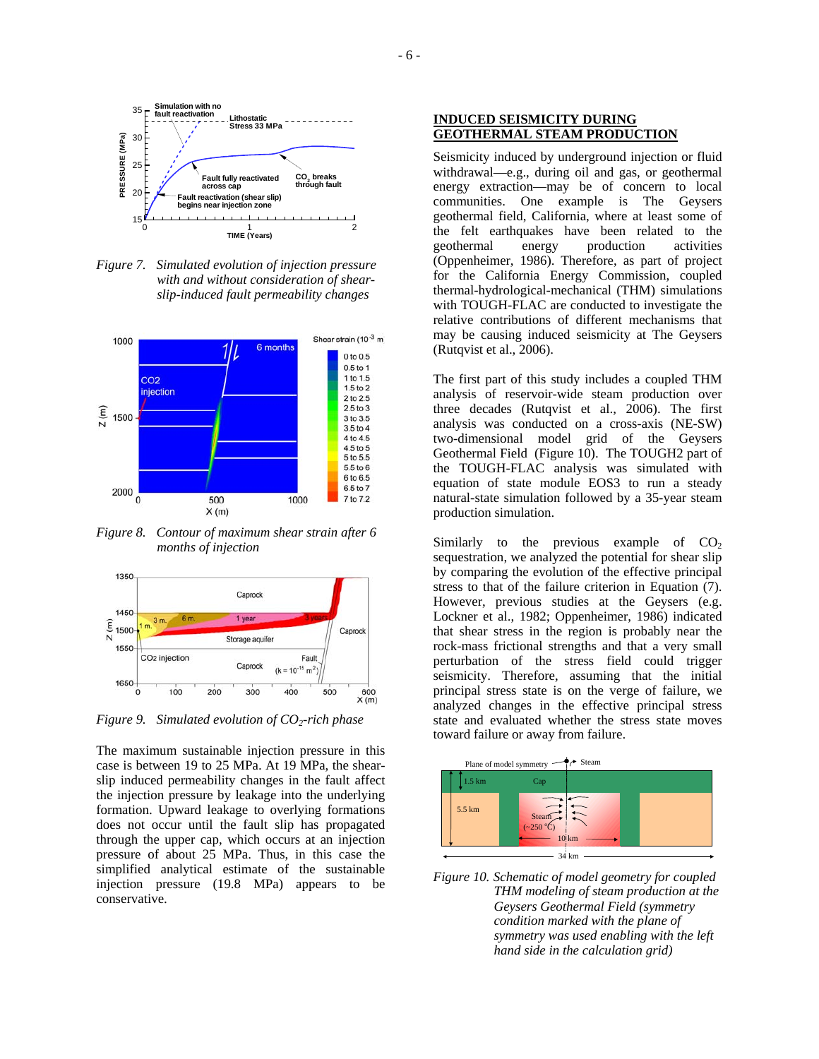

*Figure 7. Simulated evolution of injection pressure with and without consideration of shearslip-induced fault permeability changes* 



*Figure 8. Contour of maximum shear strain after 6 months of injection* 



*Figure 9. Simulated evolution of CO2-rich phase*

The maximum sustainable injection pressure in this case is between 19 to 25 MPa. At 19 MPa, the shearslip induced permeability changes in the fault affect the injection pressure by leakage into the underlying formation. Upward leakage to overlying formations does not occur until the fault slip has propagated through the upper cap, which occurs at an injection pressure of about 25 MPa. Thus, in this case the simplified analytical estimate of the sustainable injection pressure (19.8 MPa) appears to be conservative.

## **INDUCED SEISMICITY DURING GEOTHERMAL STEAM PRODUCTION**

Seismicity induced by underground injection or fluid withdrawal—e.g., during oil and gas, or geothermal energy extraction—may be of concern to local communities. One example is The Geysers geothermal field, California, where at least some of the felt earthquakes have been related to the geothermal energy production activities (Oppenheimer, 1986). Therefore, as part of project for the California Energy Commission, coupled thermal-hydrological-mechanical (THM) simulations with TOUGH-FLAC are conducted to investigate the relative contributions of different mechanisms that may be causing induced seismicity at The Geysers (Rutqvist et al., 2006).

The first part of this study includes a coupled THM analysis of reservoir-wide steam production over three decades (Rutqvist et al., 2006). The first analysis was conducted on a cross-axis (NE-SW) two-dimensional model grid of the Geysers Geothermal Field (Figure 10). The TOUGH2 part of the TOUGH-FLAC analysis was simulated with equation of state module EOS3 to run a steady natural-state simulation followed by a 35-year steam production simulation.

Similarly to the previous example of  $CO<sub>2</sub>$ sequestration, we analyzed the potential for shear slip by comparing the evolution of the effective principal stress to that of the failure criterion in Equation (7). However, previous studies at the Geysers (e.g. Lockner et al., 1982; Oppenheimer, 1986) indicated that shear stress in the region is probably near the rock-mass frictional strengths and that a very small perturbation of the stress field could trigger seismicity. Therefore, assuming that the initial principal stress state is on the verge of failure, we analyzed changes in the effective principal stress state and evaluated whether the stress state moves toward failure or away from failure.



*Figure 10. Schematic of model geometry for coupled THM modeling of steam production at the Geysers Geothermal Field (symmetry condition marked with the plane of symmetry was used enabling with the left hand side in the calculation grid)*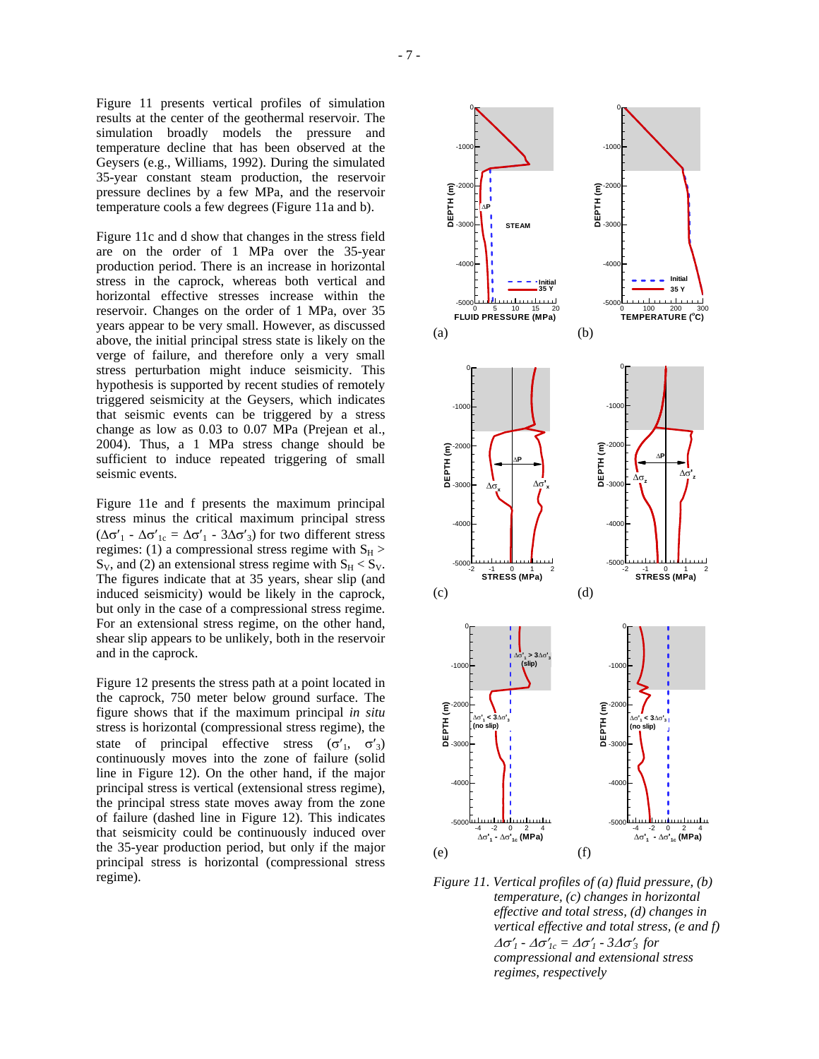Figure 11 presents vertical profiles of simulation results at the center of the geothermal reservoir. The simulation broadly models the pressure and temperature decline that has been observed at the Geysers (e.g., Williams, 1992). During the simulated 35-year constant steam production, the reservoir pressure declines by a few MPa, and the reservoir temperature cools a few degrees (Figure 11a and b).

Figure 11c and d show that changes in the stress field are on the order of 1 MPa over the 35-year production period. There is an increase in horizontal stress in the caprock, whereas both vertical and horizontal effective stresses increase within the reservoir. Changes on the order of 1 MPa, over 35 years appear to be very small. However, as discussed above, the initial principal stress state is likely on the verge of failure, and therefore only a very small stress perturbation might induce seismicity. This hypothesis is supported by recent studies of remotely triggered seismicity at the Geysers, which indicates that seismic events can be triggered by a stress change as low as 0.03 to 0.07 MPa (Prejean et al., 2004). Thus, a 1 MPa stress change should be sufficient to induce repeated triggering of small seismic events.

Figure 11e and f presents the maximum principal stress minus the critical maximum principal stress ( $\Delta \sigma'_{1}$  -  $\Delta \sigma'_{1c} = \Delta \sigma'_{1}$  - 3 $\Delta \sigma'_{3}$ ) for two different stress regimes: (1) a compressional stress regime with  $S_H$  >  $S_V$ , and (2) an extensional stress regime with  $S_H < S_V$ . The figures indicate that at 35 years, shear slip (and induced seismicity) would be likely in the caprock, but only in the case of a compressional stress regime. For an extensional stress regime, on the other hand, shear slip appears to be unlikely, both in the reservoir and in the caprock.

Figure 12 presents the stress path at a point located in the caprock, 750 meter below ground surface. The figure shows that if the maximum principal *in situ* stress is horizontal (compressional stress regime), the state of principal effective stress  $(\sigma'_1, \sigma'_3)$ continuously moves into the zone of failure (solid line in Figure 12). On the other hand, if the major principal stress is vertical (extensional stress regime), the principal stress state moves away from the zone of failure (dashed line in Figure 12). This indicates that seismicity could be continuously induced over the 35-year production period, but only if the major principal stress is horizontal (compressional stress regime).



*Figure 11. Vertical profiles of (a) fluid pressure, (b) temperature, (c) changes in horizontal effective and total stress, (d) changes in vertical effective and total stress, (e and f)*   $\Delta \sigma'$ <sub>*1</sub>* -  $\Delta \sigma'$ <sub>*ic*</sub> =  $\Delta \sigma'$ <sub>*1*</sub> - 3 $\Delta \sigma'$ <sub>3</sub> *for*</sub> *compressional and extensional stress regimes, respectively*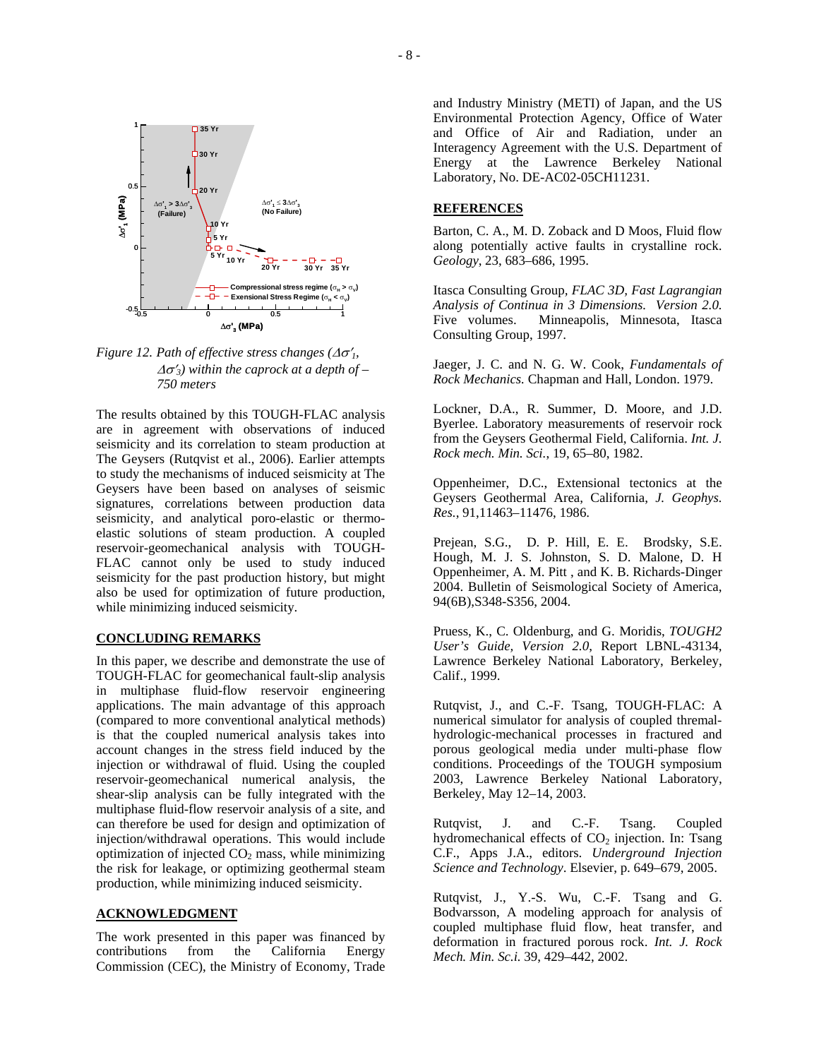

∆σ**' <sup>3</sup> (MPa)**

*Figure 12. Path of effective stress changes (*∆σ′*1,*  ∆σ′*3) within the caprock at a depth of – 750 meters* 

The results obtained by this TOUGH-FLAC analysis are in agreement with observations of induced seismicity and its correlation to steam production at The Geysers (Rutqvist et al., 2006). Earlier attempts to study the mechanisms of induced seismicity at The Geysers have been based on analyses of seismic signatures, correlations between production data seismicity, and analytical poro-elastic or thermoelastic solutions of steam production. A coupled reservoir-geomechanical analysis with TOUGH-FLAC cannot only be used to study induced seismicity for the past production history, but might also be used for optimization of future production, while minimizing induced seismicity.

### **CONCLUDING REMARKS**

In this paper, we describe and demonstrate the use of TOUGH-FLAC for geomechanical fault-slip analysis in multiphase fluid-flow reservoir engineering applications. The main advantage of this approach (compared to more conventional analytical methods) is that the coupled numerical analysis takes into account changes in the stress field induced by the injection or withdrawal of fluid. Using the coupled reservoir-geomechanical numerical analysis, the shear-slip analysis can be fully integrated with the multiphase fluid-flow reservoir analysis of a site, and can therefore be used for design and optimization of injection/withdrawal operations. This would include optimization of injected  $CO<sub>2</sub>$  mass, while minimizing the risk for leakage, or optimizing geothermal steam production, while minimizing induced seismicity.

### **ACKNOWLEDGMENT**

The work presented in this paper was financed by contributions from the California Energy Commission (CEC), the Ministry of Economy, Trade and Industry Ministry (METI) of Japan, and the US Environmental Protection Agency, Office of Water and Office of Air and Radiation, under an Interagency Agreement with the U.S. Department of Energy at the Lawrence Berkeley National Laboratory, No. DE-AC02-05CH11231.

### **REFERENCES**

Barton, C. A., M. D. Zoback and D Moos, Fluid flow along potentially active faults in crystalline rock. *Geology*, 23, 683–686, 1995.

Itasca Consulting Group*, FLAC 3D, Fast Lagrangian Analysis of Continua in 3 Dimensions. Version 2.0.* Five volumes. Minneapolis, Minnesota, Itasca Consulting Group, 1997.

Jaeger, J. C. and N. G. W. Cook, *Fundamentals of Rock Mechanics.* Chapman and Hall, London. 1979.

Lockner, D.A., R. Summer, D. Moore, and J.D. Byerlee. Laboratory measurements of reservoir rock from the Geysers Geothermal Field, California. *Int. J. Rock mech. Min. Sci.*, 19, 65–80, 1982.

Oppenheimer, D.C., Extensional tectonics at the Geysers Geothermal Area, California, *J. Geophys. Res.*, 91,11463–11476, 1986.

Prejean, S.G., D. P. Hill, E. E. Brodsky, S.E. Hough, M. J. S. Johnston, S. D. Malone, D. H Oppenheimer, A. M. Pitt , and K. B. Richards-Dinger 2004. Bulletin of Seismological Society of America, 94(6B),S348-S356, 2004.

Pruess, K., C. Oldenburg, and G. Moridis, *TOUGH2 User's Guide, Version 2.0*, Report LBNL-43134, Lawrence Berkeley National Laboratory, Berkeley, Calif., 1999.

Rutqvist, J., and C.-F. Tsang, TOUGH-FLAC: A numerical simulator for analysis of coupled thremalhydrologic-mechanical processes in fractured and porous geological media under multi-phase flow conditions. Proceedings of the TOUGH symposium 2003, Lawrence Berkeley National Laboratory, Berkeley, May 12–14, 2003.

Rutqvist, J. and C.-F. Tsang. Coupled hydromechanical effects of  $CO<sub>2</sub>$  injection. In: Tsang C.F., Apps J.A., editors. *Underground Injection Science and Technology*. Elsevier, p. 649–679, 2005.

Rutqvist, J., Y.-S. Wu, C.-F. Tsang and G. Bodvarsson, A modeling approach for analysis of coupled multiphase fluid flow, heat transfer, and deformation in fractured porous rock. *Int. J. Rock Mech. Min. Sc.i.* 39, 429–442, 2002.